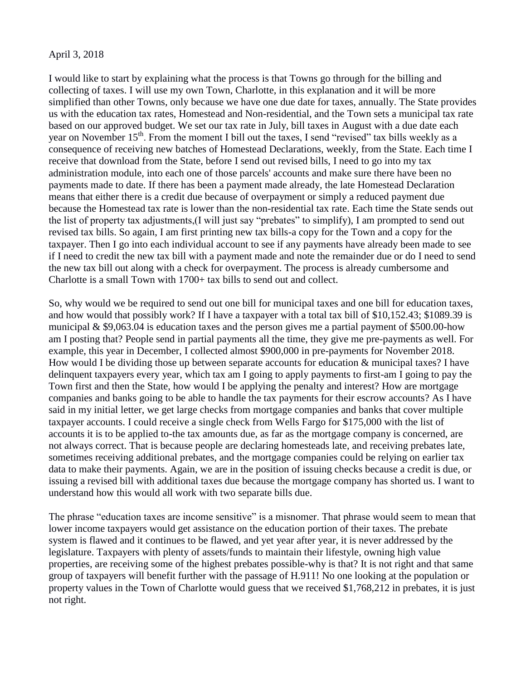## April 3, 2018

I would like to start by explaining what the process is that Towns go through for the billing and collecting of taxes. I will use my own Town, Charlotte, in this explanation and it will be more simplified than other Towns, only because we have one due date for taxes, annually. The State provides us with the education tax rates, Homestead and Non-residential, and the Town sets a municipal tax rate based on our approved budget. We set our tax rate in July, bill taxes in August with a due date each year on November 15<sup>th</sup>. From the moment I bill out the taxes, I send "revised" tax bills weekly as a consequence of receiving new batches of Homestead Declarations, weekly, from the State. Each time I receive that download from the State, before I send out revised bills, I need to go into my tax administration module, into each one of those parcels' accounts and make sure there have been no payments made to date. If there has been a payment made already, the late Homestead Declaration means that either there is a credit due because of overpayment or simply a reduced payment due because the Homestead tax rate is lower than the non-residential tax rate. Each time the State sends out the list of property tax adjustments,(I will just say "prebates" to simplify), I am prompted to send out revised tax bills. So again, I am first printing new tax bills-a copy for the Town and a copy for the taxpayer. Then I go into each individual account to see if any payments have already been made to see if I need to credit the new tax bill with a payment made and note the remainder due or do I need to send the new tax bill out along with a check for overpayment. The process is already cumbersome and Charlotte is a small Town with 1700+ tax bills to send out and collect.

So, why would we be required to send out one bill for municipal taxes and one bill for education taxes, and how would that possibly work? If I have a taxpayer with a total tax bill of \$10,152.43; \$1089.39 is municipal & \$9,063.04 is education taxes and the person gives me a partial payment of \$500.00-how am I posting that? People send in partial payments all the time, they give me pre-payments as well. For example, this year in December, I collected almost \$900,000 in pre-payments for November 2018. How would I be dividing those up between separate accounts for education & municipal taxes? I have delinquent taxpayers every year, which tax am I going to apply payments to first-am I going to pay the Town first and then the State, how would I be applying the penalty and interest? How are mortgage companies and banks going to be able to handle the tax payments for their escrow accounts? As I have said in my initial letter, we get large checks from mortgage companies and banks that cover multiple taxpayer accounts. I could receive a single check from Wells Fargo for \$175,000 with the list of accounts it is to be applied to-the tax amounts due, as far as the mortgage company is concerned, are not always correct. That is because people are declaring homesteads late, and receiving prebates late, sometimes receiving additional prebates, and the mortgage companies could be relying on earlier tax data to make their payments. Again, we are in the position of issuing checks because a credit is due, or issuing a revised bill with additional taxes due because the mortgage company has shorted us. I want to understand how this would all work with two separate bills due.

The phrase "education taxes are income sensitive" is a misnomer. That phrase would seem to mean that lower income taxpayers would get assistance on the education portion of their taxes. The prebate system is flawed and it continues to be flawed, and yet year after year, it is never addressed by the legislature. Taxpayers with plenty of assets/funds to maintain their lifestyle, owning high value properties, are receiving some of the highest prebates possible-why is that? It is not right and that same group of taxpayers will benefit further with the passage of H.911! No one looking at the population or property values in the Town of Charlotte would guess that we received \$1,768,212 in prebates, it is just not right.